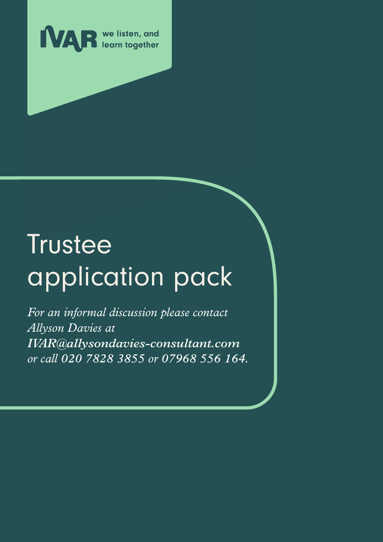

# **Trustee** application pack

*For an informal discussion please contact Allyson Davies at IVAR@allysondavies-consultant.com or call 020 7828 3855 or 07968 556 164.*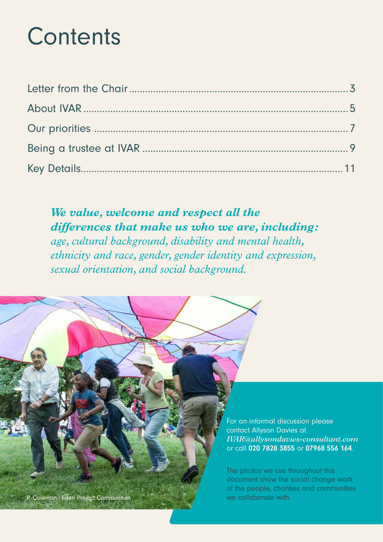## **Contents**

*We value, welcome and respect all the differences that make us who we are, including: age, cultural background, disability and mental health, ethnicity and race, gender, gender identity and expression, sexual orientation, and social background.*

> For an informal discussion please contact Allyson Davies at *IVAR@allysondavies-consultant.com* or call 020 7828 3855 or 07968 556 164.

The photos we use throughout this document show the social change work of the people, charities and communities P. Coleman - Eden Project Communities were alleged and the collaborate with.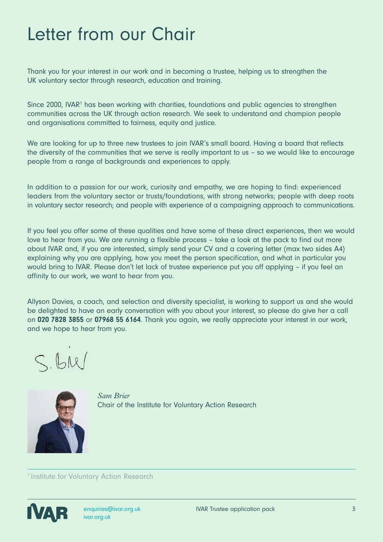### Letter from our Chair

Thank you for your interest in our work and in becoming a trustee, helping us to strengthen the UK voluntary sector through research, education and training.

Since 2000, IVAR<sup>1</sup> has been working with charities, foundations and public agencies to strengthen communities across the UK through action research. We seek to understand and champion people and organisations committed to fairness, equity and justice.

We are looking for up to three new trustees to join IVAR's small board. Having a board that reflects the diversity of the communities that we serve is really important to us – so we would like to encourage people from a range of backgrounds and experiences to apply.

In addition to a passion for our work, curiosity and empathy, we are hoping to find: experienced leaders from the voluntary sector or trusts/foundations, with strong networks; people with deep roots in voluntary sector research; and people with experience of a campaigning approach to communications.

If you feel you offer some of these qualities and have some of these direct experiences, then we would love to hear from you. We are running a flexible process – take a look at the pack to find out more about IVAR and, if you are interested, simply send your CV and a covering letter (max two sides A4) explaining why you are applying, how you meet the person specification, and what in particular you would bring to IVAR. Please don't let lack of trustee experience put you off applying – if you feel an affinity to our work, we want to hear from you.

Allyson Davies, a coach, and selection and diversity specialist, is working to support us and she would be delighted to have an early conversation with you about your interest, so please do give her a call on 020 7828 3855 or 07968 55 6164. Thank you again, we really appreciate your interest in our work, and we hope to hear from you.

 $S.HU$ 



*Sam Brier* Chair of the Institute for Voluntary Action Research

<sup>1</sup> Institute for Voluntary Action Research

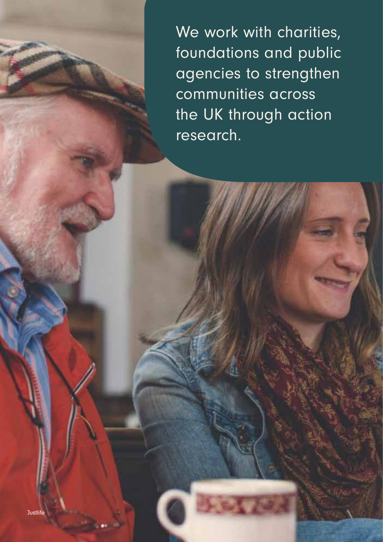We work with charities, foundations and public agencies to strengthen communities across the UK through action research.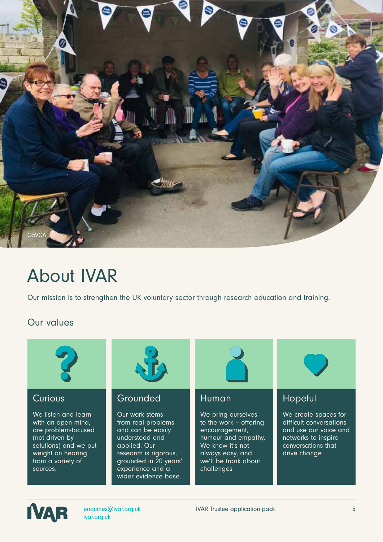

### About IVAR

Our mission is to strengthen the UK voluntary sector through research education and training.

#### Our values



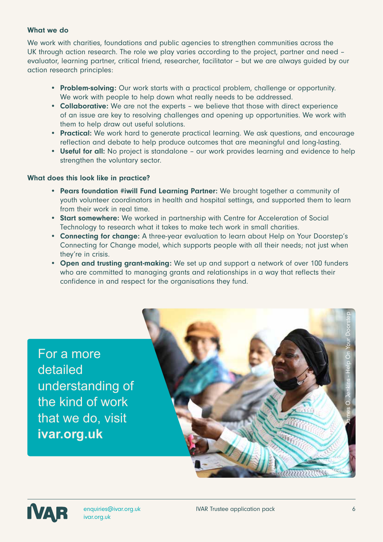#### What we do

We work with charities, foundations and public agencies to strengthen communities across the UK through action research. The role we play varies according to the project, partner and need – evaluator, learning partner, critical friend, researcher, facilitator – but we are always guided by our action research principles:

- Problem-solving: Our work starts with a practical problem, challenge or opportunity. We work with people to help down what really needs to be addressed.
- Collaborative: We are not the experts we believe that those with direct experience of an issue are key to resolving challenges and opening up opportunities. We work with them to help draw out useful solutions.
- Practical: We work hard to generate practical learning. We ask questions, and encourage reflection and debate to help produce outcomes that are meaningful and long-lasting.
- Useful for all: No project is standalone our work provides learning and evidence to help strengthen the voluntary sector.

#### What does this look like in practice?

- Pears foundation #iwill Fund Learning Partner: We brought together a community of youth volunteer coordinators in health and hospital settings, and supported them to learn from their work in real time.
- Start somewhere: We worked in partnership with Centre for Acceleration of Social Technology to research what it takes to make tech work in small charities.
- Connecting for change: A three-year evaluation to learn about Help on Your Doorstep's Connecting for Change model, which supports people with all their needs; not just when they're in crisis.
- Open and trusting grant-making: We set up and support a network of over 100 funders who are committed to managing grants and relationships in a way that reflects their confidence in and respect for the organisations they fund.

For a more detailed understanding of the kind of work that we do, visit **ivar.org.uk**



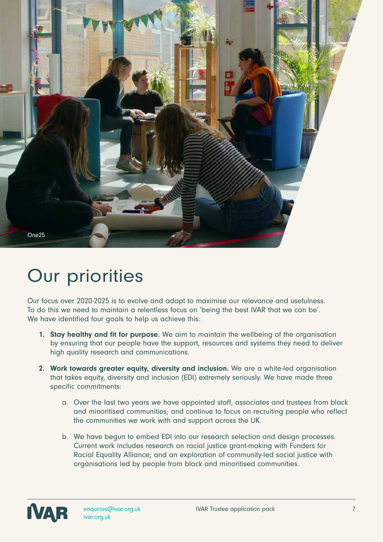

### Our priorities

Our focus over 2020-2025 is to evolve and adapt to maximise our relevance and usefulness. To do this we need to maintain a relentless focus on 'being the best IVAR that we can be'. We have identified four goals to help us achieve this:

- 1. Stay healthy and fit for purpose. We aim to maintain the wellbeing of the organisation by ensuring that our people have the support, resources and systems they need to deliver high quality research and communications.
- 2. Work towards greater equity, diversity and inclusion. We are a white-led organisation that takes equity, diversity and inclusion (EDI) extremely seriously. We have made three specific commitments:
	- a. Over the last two years we have appointed staff, associates and trustees from black and minoritised communities; and continue to focus on recruiting people who reflect the communities we work with and support across the UK.
	- b. We have begun to embed EDI into our research selection and design processes. Current work includes research on racial justice grant-making with Funders for Racial Equality Alliance; and an exploration of community-led social justice with organisations led by people from black and minoritised communities.

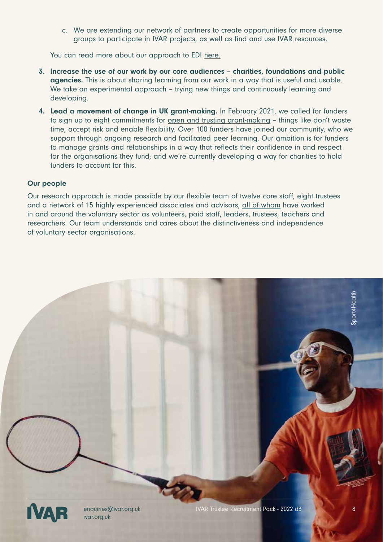c. We are extending our network of partners to create opportunities for more diverse groups to participate in IVAR projects, as well as find and use IVAR resources.

You can read more about our approach to EDI here.

- 3. Increase the use of our work by our core audiences charities, foundations and public agencies. This is about sharing learning from our work in a way that is useful and usable. We take an experimental approach - trying new things and continuously learning and developing.
- 4. Lead a movement of change in UK grant-making. In February 2021, we called for funders to sign up to eight commitments for open and trusting grant-making – things like don't waste time, accept risk and enable flexibility. Over 100 funders have joined our community, who we support through ongoing research and facilitated peer learning. Our ambition is for funders to manage grants and relationships in a way that reflects their confidence in and respect for the organisations they fund; and we're currently developing a way for charities to hold funders to account for this.

#### Our people

Our research approach is made possible by our flexible team of twelve core staff, eight trustees and a network of 15 highly experienced associates and advisors, all of whom have worked in and around the voluntary sector as volunteers, paid staff, leaders, trustees, teachers and researchers. Our team understands and cares about the distinctiveness and independence of voluntary sector organisations.

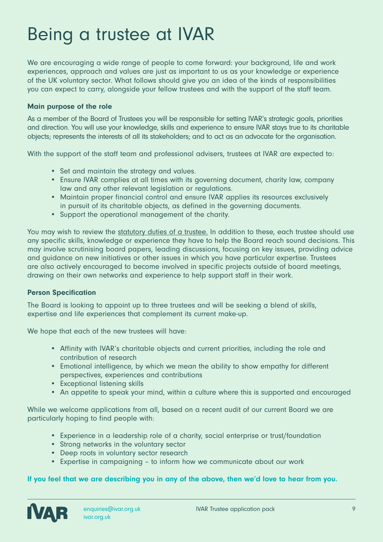### Being a trustee at IVAR

We are encouraging a wide range of people to come forward: your background, life and work experiences, approach and values are just as important to us as your knowledge or experience of the UK voluntary sector. What follows should give you an idea of the kinds of responsibilities you can expect to carry, alongside your fellow trustees and with the support of the staff team.

#### Main purpose of the role

As a member of the Board of Trustees you will be responsible for setting IVAR's strategic goals, priorities and direction. You will use your knowledge, skills and experience to ensure IVAR stays true to its charitable objects; represents the interests of all its stakeholders; and to act as an advocate for the organisation.

With the support of the staff team and professional advisers, trustees at IVAR are expected to:

- Set and maintain the strategy and values.
- Ensure IVAR complies at all times with its governing document, charity law, company law and any other relevant legislation or regulations.
- Maintain proper financial control and ensure IVAR applies its resources exclusively in pursuit of its charitable objects, as defined in the governing documents.
- Support the operational management of the charity.

You may wish to review the statutory duties of a trustee. In addition to these, each trustee should use any specific skills, knowledge or experience they have to help the Board reach sound decisions. This may involve scrutinising board papers, leading discussions, focusing on key issues, providing advice and guidance on new initiatives or other issues in which you have particular expertise. Trustees are also actively encouraged to become involved in specific projects outside of board meetings, drawing on their own networks and experience to help support staff in their work.

#### Person Specification

The Board is looking to appoint up to three trustees and will be seeking a blend of skills, expertise and life experiences that complement its current make-up.

We hope that each of the new trustees will have:

- Affinity with IVAR's charitable objects and current priorities, including the role and contribution of research
- Emotional intelligence, by which we mean the ability to show empathy for different perspectives, experiences and contributions
- Exceptional listening skills
- An appetite to speak your mind, within a culture where this is supported and encouraged

While we welcome applications from all, based on a recent audit of our current Board we are particularly hoping to find people with:

- Experience in a leadership role of a charity, social enterprise or trust/foundation
- Strong networks in the voluntary sector
- Deep roots in voluntary sector research
- Expertise in campaigning to inform how we communicate about our work

#### If you feel that we are describing you in any of the above, then we'd love to hear from you.

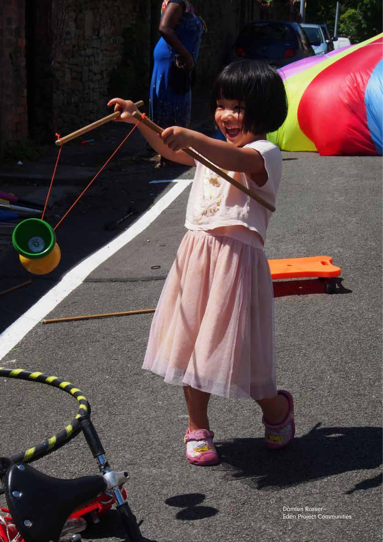Damien Rosser - Eden Project Communities

7

۵